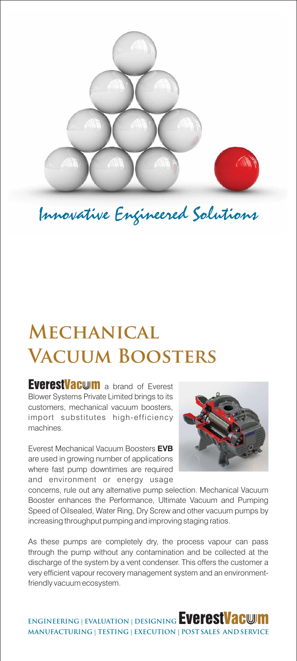

Innovative Engineered Solutions

# **Mechanical Vacuum Boosters**

EverestVacwm a brand of Everest Blower Systems Private Limited brings to its customers, mechanical vacuum boosters, import substitutes high-efficiency machines.

Everest Mechanical Vacuum Boosters **EVB** are used in growing number of applications where fast pump downtimes are required and environment or energy usage



concerns, rule out any alternative pump selection. Mechanical Vacuum Booster enhances the Performance, Ultimate Vacuum and Pumping Speed of Oilsealed, Water Ring, Dry Screw and other vacuum pumps by increasing throughput pumping and improving staging ratios.

As these pumps are completely dry, the process vapour can pass through the pump without any contamination and be collected at the discharge of the system by a vent condenser. This offers the customer a very efficient vapour recovery management system and an environmentfriendly vacuum ecosystem.

**ENGINEERING | EVALUATION | DESIGNING EVEFESTVACWM MANUFACTURING | TESTING | EXECUTION | POST SALES AND SERVICE**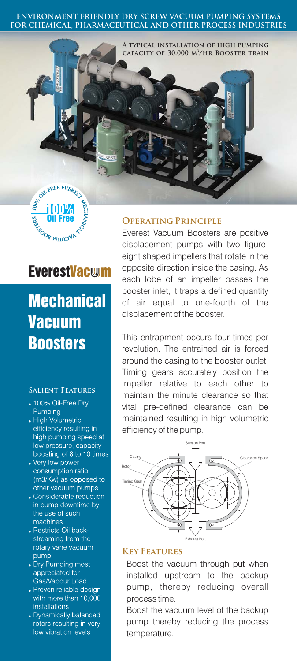#### **ENVIRONMENT FRIENDLY DRY SCREW VACUUM PUMPING SYSTEMS FOR CHEMICAL, PHARMACEUTICAL AND OTHER PROCESS INDUSTRIES**





# **EverestVacwm**

**Mechanical Vacuum Boosters** 

### **Salient Features**

- 100% Oil-Free Dry Pumping
- High Volumetric efficiency resulting in high pumping speed at low pressure, capacity boosting of 8 to 10 times
- Very low power consumption ratio (m3/Kw) as opposed to other vacuum pumps
- Considerable reduction in pump downtime by the use of such machines
- Restricts Oil backstreaming from the rotary vane vacuum pump
- Dry Pumping most appreciated for Gas/Vapour Load
- Proven reliable design with more than 10,000 installations
- Dynamically balanced rotors resulting in very low vibration levels

# **Operating Principle**

Everest Vacuum Boosters are positive displacement pumps with two figureeight shaped impellers that rotate in the opposite direction inside the casing. As each lobe of an impeller passes the booster inlet, it traps a defined quantity of air equal to one-fourth of the displacement of the booster.

This entrapment occurs four times per revolution. The entrained air is forced around the casing to the booster outlet. Timing gears accurately position the impeller relative to each other to maintain the minute clearance so that vital pre-defined clearance can be maintained resulting in high volumetric efficiency of the pump.



### **Key Features**

Boost the vacuum through put when installed upstream to the backup pump, thereby reducing overall process time.

Boost the vacuum level of the backup pump thereby reducing the process temperature.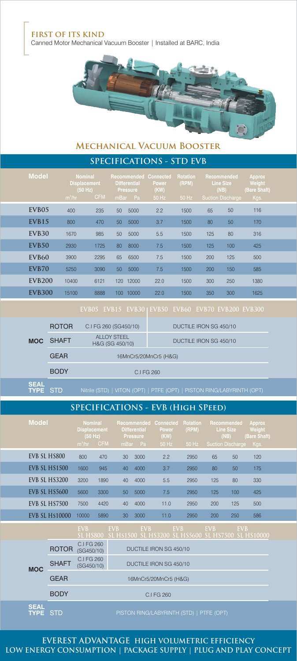### **FIRST OF ITS KIND**

Canned Motor Mechanical Vacuum Booster | Installed at BARC, India



# **SPECIFICATIONS - STD EVB Mechanical Vacuum Booster**

| 01 LUILIU/MIUINU<br>011111 |                   |                                                              |            |                                                                                      |       |                        |                            |                                                                     |     |                                                 |  |
|----------------------------|-------------------|--------------------------------------------------------------|------------|--------------------------------------------------------------------------------------|-------|------------------------|----------------------------|---------------------------------------------------------------------|-----|-------------------------------------------------|--|
|                            | <b>Model</b>      | <b>Nominal</b><br><b>Displacement</b><br>(50 Hz)<br>$m^3/hr$ | <b>CFM</b> | <b>Recommended Connected</b><br><b>Differential</b><br><b>Pressure</b><br>Pa<br>mBar |       | Power<br>(KW)<br>50 Hz | Rotation<br>(RPM)<br>50 Hz | Recommended<br><b>Line Size</b><br>(NB)<br><b>Suction Discharge</b> |     | <b>Approx</b><br>Weight<br>(Bare Shaft)<br>Kgs. |  |
|                            | EVB05             | 400                                                          | 235        | 50                                                                                   | 5000  | 2.2                    | 1500                       | 65                                                                  | 50  | 116                                             |  |
|                            | EVB <sub>15</sub> | 800                                                          | 470        | 50                                                                                   | 5000  | 3.7                    | 1500                       | 80                                                                  | 50  | 170                                             |  |
|                            | EVB <sub>30</sub> | 1670                                                         | 985        | 50                                                                                   | 5000  | 5.5                    | 1500                       | 125                                                                 | 80  | 316                                             |  |
|                            | <b>EVB50</b>      | 2930                                                         | 1725       | 80                                                                                   | 8000  | 7.5                    | 1500                       | 125                                                                 | 100 | 425                                             |  |
|                            | EVB <sub>60</sub> | 3900                                                         | 2295       | 65                                                                                   | 6500  | 7.5                    | 1500                       | 200                                                                 | 125 | 500                                             |  |
|                            | EVB70             | 5250                                                         | 3090       | 50                                                                                   | 5000  | 7.5                    | 1500                       | 200                                                                 | 150 | 585                                             |  |
|                            | <b>EVB200</b>     | 10400                                                        | 6121       | 120                                                                                  | 12000 | 22.0                   | 1500                       | 300                                                                 | 250 | 1380                                            |  |
|                            | <b>EVB300</b>     | 15100                                                        | 8888       | 100 <sub>1</sub>                                                                     | 10000 | 22.0                   | 1500                       | 350                                                                 | 300 | 1625                                            |  |
|                            |                   |                                                              |            |                                                                                      |       |                        |                            |                                                                     |     |                                                 |  |

| <b>MOC</b>                     | <b>ROTOR</b> | C.I FG 260 (SG450/10)                 | DUCTILE IRON SG 450/10                                                 |  |  |  |  |  |  |  |
|--------------------------------|--------------|---------------------------------------|------------------------------------------------------------------------|--|--|--|--|--|--|--|
|                                | <b>SHAFT</b> | <b>ALLOY STEEL</b><br>H&G (SG 450/10) | DUCTILE IRON SG 450/10                                                 |  |  |  |  |  |  |  |
|                                | <b>GEAR</b>  | 16MnCr5/20MnCr5 (H&G)                 |                                                                        |  |  |  |  |  |  |  |
|                                | C.I FG 260   |                                       |                                                                        |  |  |  |  |  |  |  |
| <b>SEAL</b><br><b>TYPE STD</b> |              |                                       | Nitrile (STD)   VITON (OPT)   PTFE (OPT)   PISTON RING/LABYRINTH (OPT) |  |  |  |  |  |  |  |
|                                |              |                                       |                                                                        |  |  |  |  |  |  |  |

# **SPECIFICATIONS - EVB (High SPeed)**

| <b>Model</b>          | <b>Nominal</b><br><b>Displacement</b><br>(50 Hz)<br>$m^3/hr$ | <b>CFM</b> | <b>Differential</b><br>mBar | Recommended<br><b>Pressure</b><br>Pa | Connected<br><b>Power</b><br>(KW)<br>50 Hz | <b>Rotation</b><br>(RPM)<br>50 Hz |            | Recommended<br><b>Line Size</b><br>(NB)<br><b>Suction Discharge</b> | <b>Approx</b><br>Weight<br>(Bare Shaft)<br>Kgs. |  |
|-----------------------|--------------------------------------------------------------|------------|-----------------------------|--------------------------------------|--------------------------------------------|-----------------------------------|------------|---------------------------------------------------------------------|-------------------------------------------------|--|
| EVB SL HS800          | 800                                                          | 470        | 30                          | 3000                                 | 2.2                                        | 2950                              | 65         | 50                                                                  | 120                                             |  |
| <b>EVB SL HS1500</b>  | 1600                                                         | 945        | 40                          | 4000                                 | 3.7                                        | 2950                              | 80         | 50                                                                  | 175                                             |  |
| <b>EVB SL HS3200</b>  | 3200                                                         | 1890       | 40                          | 4000                                 | 5.5                                        | 2950                              | 125        | 80                                                                  | 330                                             |  |
| EVB SL HS5600         | 5600                                                         | 3300       | 50                          | 5000                                 | 7.5                                        | 2950                              | 125        | 100                                                                 | 425                                             |  |
| EVB SL HS7500         | 7500                                                         | 4420       | 40                          | 4000                                 | 11.0                                       | 2950                              | 200        | 125                                                                 | 500                                             |  |
| <b>EVB SL HS10000</b> | 10000                                                        | 5890       | 30                          | 3000                                 | 11.0                                       | 2950                              | 200        | 250                                                                 | 586                                             |  |
|                       | <b>EVB</b><br>$\overline{\text{SL}}$ HS800                   | EVB.       | <b>SL HS1500</b>            | <b>EVB</b>                           | <b>EVB</b><br><b>SL HS3200</b>             | <b>SL HS5600 SL HS7500</b>        | <b>EVB</b> | EVB                                                                 | <b>SL HS10000</b>                               |  |
| <b>ROTOR</b>          | C.I FG 260<br>(SG450/10)                                     |            |                             |                                      | DUCTILE IRON SG 450/10                     |                                   |            |                                                                     |                                                 |  |

|             |              |                          | <u>JE ITJOVU - JE ITJI JUVEJE TIJJZUVE JE ITJJUVU IJE ITJI JUVEJE ITJI VUVU</u> |  |  |  |
|-------------|--------------|--------------------------|---------------------------------------------------------------------------------|--|--|--|
|             | <b>ROTOR</b> | C.I FG 260<br>(SG450/10) | DUCTILE IRON SG 450/10                                                          |  |  |  |
| <b>MOC</b>  | <b>SHAFT</b> | C.I FG 260<br>(SG450/10) | DUCTILE IRON SG 450/10                                                          |  |  |  |
|             | <b>GEAR</b>  |                          | 16MnCr5/20MnCr5 (H&G)                                                           |  |  |  |
|             | <b>BODY</b>  | C.I FG 260               |                                                                                 |  |  |  |
| <b>SEAL</b> |              |                          |                                                                                 |  |  |  |

**TYPE** STD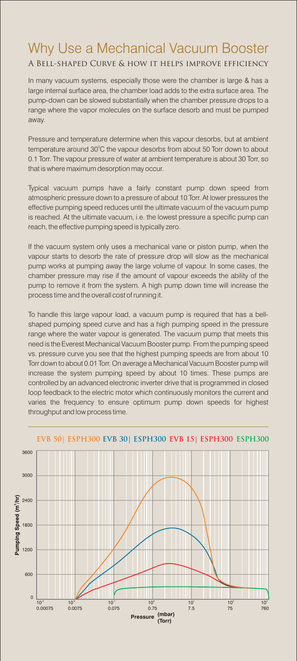# Why Use a Mechanical Vacuum Booster

# A Bell-shaped Curve & how it helps improve efficiency

In many vacuum systems, especially those were the chamber is large & has a large internal surface area, the chamber load adds to the extra surface area. The pump-down can be slowed substantially when the chamber pressure drops to a range where the vapor molecules on the surface desorb and must be pumped away.

Pressure and temperature determine when this vapour desorbs, but at ambient temperature around  $30^{\circ}$ C the vapour desorbs from about 50 Torr down to about 0.1 Torr. The vapour pressure of water at ambient temperature is about 30 Torr, so that is where maximum desorption may occur.

Typical vacuum pumps have a fairly constant pump down speed from atmospheric pressure down to a pressure of about 10 Torr. At lower pressures the effective pumping speed reduces until the ultimate vacuum of the vacuum pump is reached. At the ultimate vacuum, i.e. the lowest pressure a specific pump can reach, the effective pumping speed is typically zero.

If the vacuum system only uses a mechanical vane or piston pump, when the vapour starts to desorb the rate of pressure drop will slow as the mechanical pump works at pumping away the large volume of vapour. In some cases, the chamber pressure may rise if the amount of vapour exceeds the ability of the pump to remove it from the system. A high pump down time will increase the process time and the overall cost of running it.

To handle this large vapour load, a vacuum pump is required that has a bellshaped pumping speed curve and has a high pumping speed in the pressure range where the water vapour is generated. The vacuum pump that meets this need is the Everest Mechanical Vacuum Booster pump. From the pumping speed vs. pressure curve you see that the highest pumping speeds are from about 10 Torr down to about 0.01 Torr. On average a Mechanical Vacuum Booster pump will increase the system pumping speed by about 10 times. These pumps are controlled by an advanced electronic inverter drive that is programmed in closed loop feedback to the electric motor which continuously monitors the current and varies the frequency to ensure optimum pump down speeds for highest throughput and low process time.



#### **EVB 50| ESPH300 EVB 30| ESPH300 EVB 15| ESPH300 ESPH300**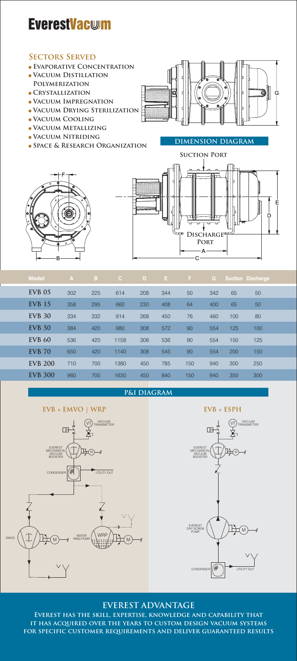# **EverestVacwm**

### **Sectors Served**

- **Evaporative Concentration**
- **Vacuum Distillation**
- **Polymerization**
- **Crystallization**
- **Vacuum Impregnation**
- **Vacuum Drying Sterilization**
- **Vacuum Cooling**
- **Vacuum Metallizing**
- **Vacuum Nitriding**
- **SPACE & RESEARCH ORGANIZATION**







| <b>Model</b>   | $\mathbf{A}$ | B   | C.   | D   | Е.  | F.  | G   |     | <b>Suction Discharge</b> |  |
|----------------|--------------|-----|------|-----|-----|-----|-----|-----|--------------------------|--|
| <b>EVB 05</b>  | 302          | 225 | 614  | 208 | 344 | 50  | 342 | 65  | 50                       |  |
| <b>EVB</b> 15  | 358          | 295 | 660  | 230 | 408 | 64  | 400 | 65  | 50                       |  |
| <b>EVB 30</b>  | 334          | 332 | 914  | 268 | 450 | 76  | 460 | 100 | 80                       |  |
| <b>EVB 50</b>  | 384          | 420 | 980  | 308 | 572 | 90  | 554 | 125 | 100                      |  |
| <b>EVB 60</b>  | 536          | 420 | 1158 | 308 | 536 | 90  | 554 | 150 | 125                      |  |
| <b>EVB 70</b>  | 650          | 420 | 1140 | 308 | 545 | 90  | 554 | 200 | 150                      |  |
| <b>EVB 200</b> | 710          | 700 | 1380 | 450 | 785 | 150 | 940 | 300 | 250                      |  |
| <b>EVB 300</b> | 960          | 700 | 1630 | 450 | 840 | 150 | 940 | 350 | 300                      |  |

### **P&I DIAGRAM**

### **EVB** + **EMVO** | **WRP EVB** + **ESPH**





# **EVEREST ADVANTAGE**

**Everest has the skill, expertise, knowledge and capability that it has acquired over the years to custom design vacuum systems for specific customer requirements and deliver guaranteed results**